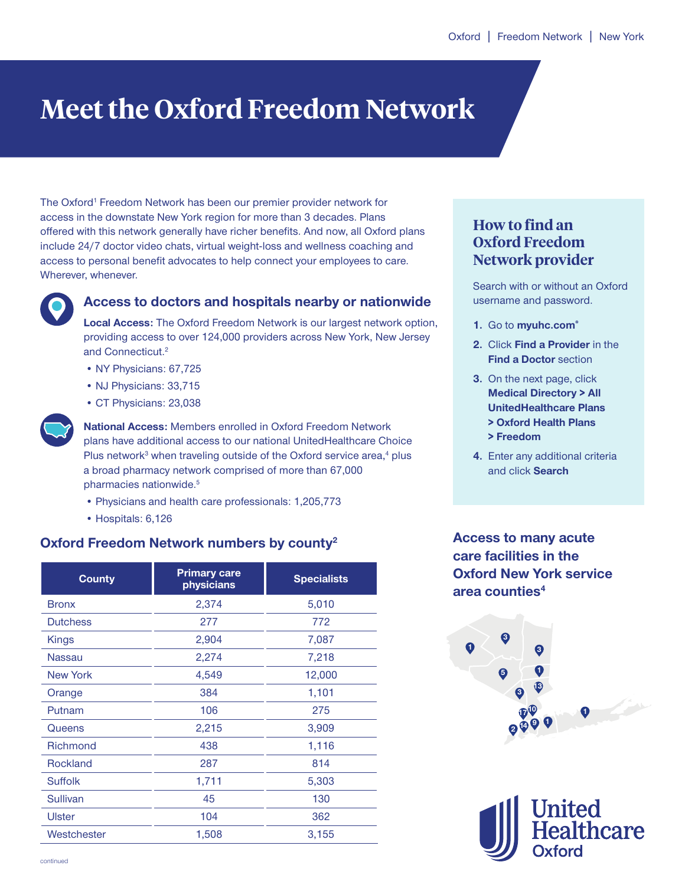# **Meet the Oxford Freedom Network**

The Oxford<sup>1</sup> Freedom Network has been our premier provider network for access in the downstate New York region for more than 3 decades. Plans offered with this network generally have richer benefits. And now, all Oxford plans include 24/7 doctor video chats, virtual weight-loss and wellness coaching and access to personal benefit advocates to help connect your employees to care. Wherever, whenever.



# **Access to doctors and hospitals nearby or nationwide**

**Local Access:** The Oxford Freedom Network is our largest network option, providing access to over 124,000 providers across New York, New Jersey and Connecticut.<sup>2</sup>

- NY Physicians: 67,725
- NJ Physicians: 33,715
- CT Physicians: 23,038



**National Access:** Members enrolled in Oxford Freedom Network plans have additional access to our national UnitedHealthcare Choice Plus network<sup>3</sup> when traveling outside of the Oxford service area,<sup>4</sup> plus a broad pharmacy network comprised of more than 67,000 pharmacies nationwide.<sup>5</sup>

- Physicians and health care professionals: 1,205,773
- Hospitals: 6,126

## **Oxford Freedom Network numbers by county2**

| <b>County</b>   | <b>Primary care</b><br>physicians | <b>Specialists</b> |  |
|-----------------|-----------------------------------|--------------------|--|
| <b>Bronx</b>    | 2,374                             | 5,010              |  |
| <b>Dutchess</b> | 277                               | 772                |  |
| Kings           | 2,904                             | 7,087              |  |
| <b>Nassau</b>   | 2,274                             | 7,218              |  |
| <b>New York</b> | 4,549                             | 12,000             |  |
| Orange          | 384                               | 1,101              |  |
| Putnam          | 106                               | 275                |  |
| Queens          | 2,215                             | 3,909              |  |
| <b>Richmond</b> | 438                               | 1,116              |  |
| <b>Rockland</b> | 287                               | 814                |  |
| <b>Suffolk</b>  | 1,711                             | 5,303              |  |
| Sullivan        | 45                                | 130                |  |
| <b>Ulster</b>   | 104                               | 362                |  |
| Westchester     | 1,508                             | 3,155              |  |

# **How to find an Oxford Freedom Network provider**

Search with or without an Oxford username and password.

- **1.** Go to **myuhc.com®**
- **2.** Click **Find a Provider** in the **Find a Doctor** section
- **3.** On the next page, click **Medical Directory > All UnitedHealthcare Plans > Oxford Health Plans > Freedom**
- **4.** Enter any additional criteria and click **Search**

**Access to many acute care facilities in the Oxford New York service area counties4**



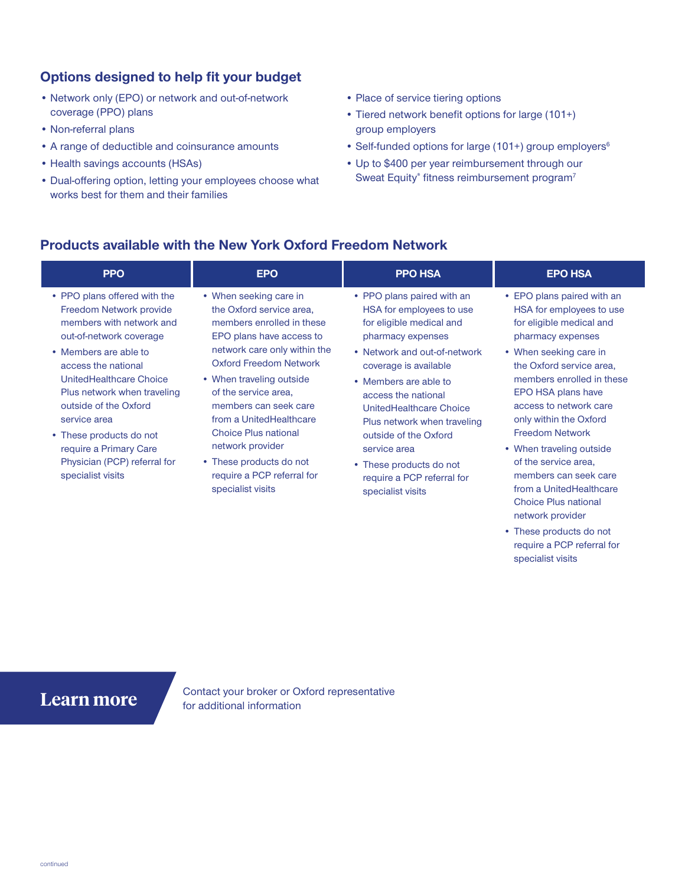# **Options designed to help fit your budget**

- Network only (EPO) or network and out-of-network coverage (PPO) plans
- Non-referral plans
- A range of deductible and coinsurance amounts
- Health savings accounts (HSAs)
- Dual-offering option, letting your employees choose what works best for them and their families
- Place of service tiering options
- Tiered network benefit options for large (101+) group employers
- Self-funded options for large (101+) group employers<sup>6</sup>
- Up to \$400 per year reimbursement through our Sweat Equity® fitness reimbursement program<sup>7</sup>

## **Products available with the New York Oxford Freedom Network**

| • PPO plans offered with the<br>• PPO plans paired with an<br>• When seeking care in<br>Freedom Network provide<br>the Oxford service area,<br>HSA for employees to use<br>members with network and<br>members enrolled in these<br>for eligible medical and                                                                                                                                                                                                                                                                                                                                                                                                                                                                                                                                                                                                                                                                                                                                                                                 | <b>PPO</b>              | <b>EPO</b>               | <b>PPO HSA</b>    | <b>EPO HSA</b>                                                                                                                                                                                                                                                                                         |
|----------------------------------------------------------------------------------------------------------------------------------------------------------------------------------------------------------------------------------------------------------------------------------------------------------------------------------------------------------------------------------------------------------------------------------------------------------------------------------------------------------------------------------------------------------------------------------------------------------------------------------------------------------------------------------------------------------------------------------------------------------------------------------------------------------------------------------------------------------------------------------------------------------------------------------------------------------------------------------------------------------------------------------------------|-------------------------|--------------------------|-------------------|--------------------------------------------------------------------------------------------------------------------------------------------------------------------------------------------------------------------------------------------------------------------------------------------------------|
| network care only within the<br>• Members are able to<br>• When seeking care in<br>• Network and out-of-network<br><b>Oxford Freedom Network</b><br>access the national<br>coverage is available<br>UnitedHealthcare Choice<br>• When traveling outside<br>• Members are able to<br>Plus network when traveling<br>of the service area,<br>EPO HSA plans have<br>access the national<br>outside of the Oxford<br>members can seek care<br>UnitedHealthcare Choice<br>from a UnitedHealthcare<br>only within the Oxford<br>service area<br>Plus network when traveling<br><b>Choice Plus national</b><br><b>Freedom Network</b><br>outside of the Oxford<br>• These products do not<br>network provider<br>require a Primary Care<br>service area<br>Physician (PCP) referral for<br>• These products do not<br>of the service area,<br>• These products do not<br>require a PCP referral for<br>specialist visits<br>require a PCP referral for<br>specialist visits<br>specialist visits<br><b>Choice Plus national</b><br>network provider | out-of-network coverage | EPO plans have access to | pharmacy expenses | • EPO plans paired with an<br>HSA for employees to use<br>for eligible medical and<br>pharmacy expenses<br>the Oxford service area,<br>members enrolled in these<br>access to network care<br>• When traveling outside<br>members can seek care<br>from a UnitedHealthcare<br>. These puedicate de pat |

• These products do not require a PCP referral for specialist visits

**Learn more** Contact your broker or Oxford representative for additional information